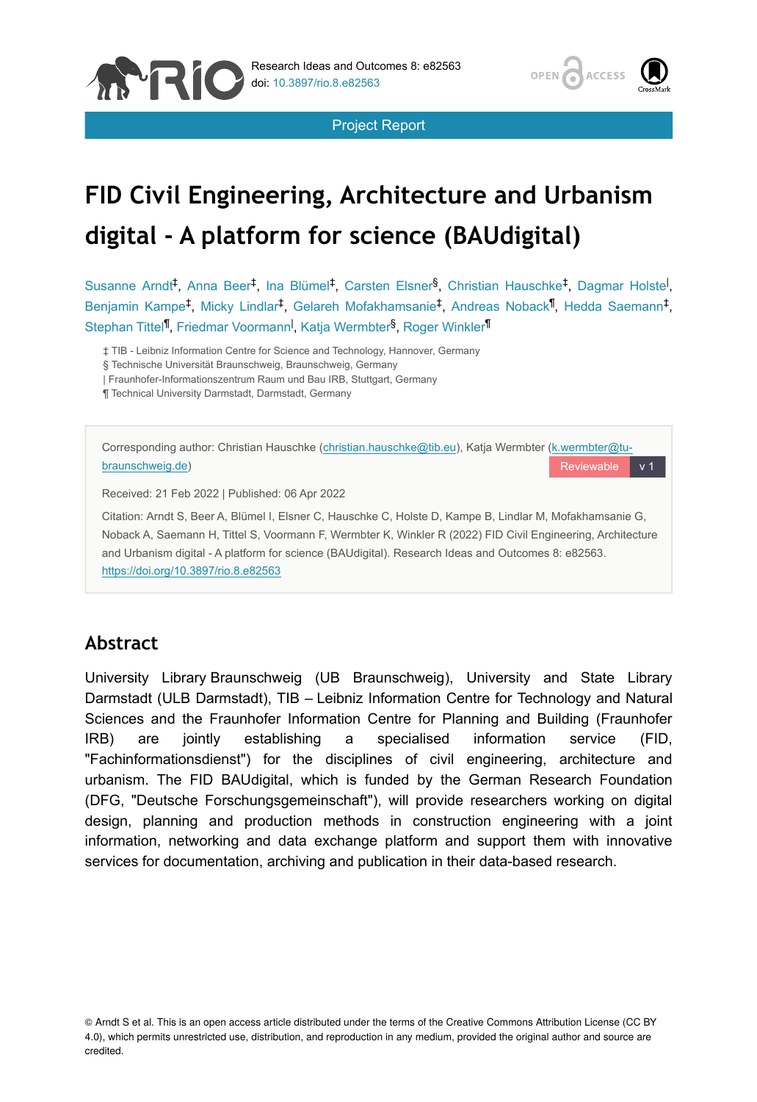





# **FID Civil Engineering, Architecture and Urbanism digital - A platform for science (BAUdigital)**

Susanne Arndt<sup>‡</sup>, Anna Beer<sup>‡</sup>, Ina Blümel<sup>‡</sup>, Carsten Elsner<sup>§</sup>, Christian Hauschke<sup>‡</sup>, Dagmar Holste<sup>1</sup>, Benjamin Kampe<sup>‡</sup>, Micky Lindlar<sup>‡</sup>, Gelareh Mofakhamsanie<sup>‡</sup>, Andreas Noback<sup>¶</sup>, Hedda Saemann<sup>‡</sup>, Stephan Tittel<sup>¶</sup>, Friedmar Voormann<sup>I</sup>, Katja Wermbter<sup>§</sup>, Roger Winkler<sup>¶</sup>

‡ TIB - Leibniz Information Centre for Science and Technology, Hannover, Germany

§ Technische Universität Braunschweig, Braunschweig, Germany

| Fraunhofer-Informationszentrum Raum und Bau IRB, Stuttgart, Germany

¶ Technical University Darmstadt, Darmstadt, Germany



## **Abstract**

University Library Braunschweig (UB Braunschweig), University and State Library Darmstadt (ULB Darmstadt), TIB – Leibniz Information Centre for Technology and Natural Sciences and the Fraunhofer Information Centre for Planning and Building (Fraunhofer IRB) are jointly establishing a specialised information service (FID, "Fachinformationsdienst") for the disciplines of civil engineering, architecture and urbanism. The FID BAUdigital, which is funded by the German Research Foundation (DFG, "Deutsche Forschungsgemeinschaft"), will provide researchers working on digital design, planning and production methods in construction engineering with a joint information, networking and data exchange platform and support them with innovative services for documentation, archiving and publication in their data-based research.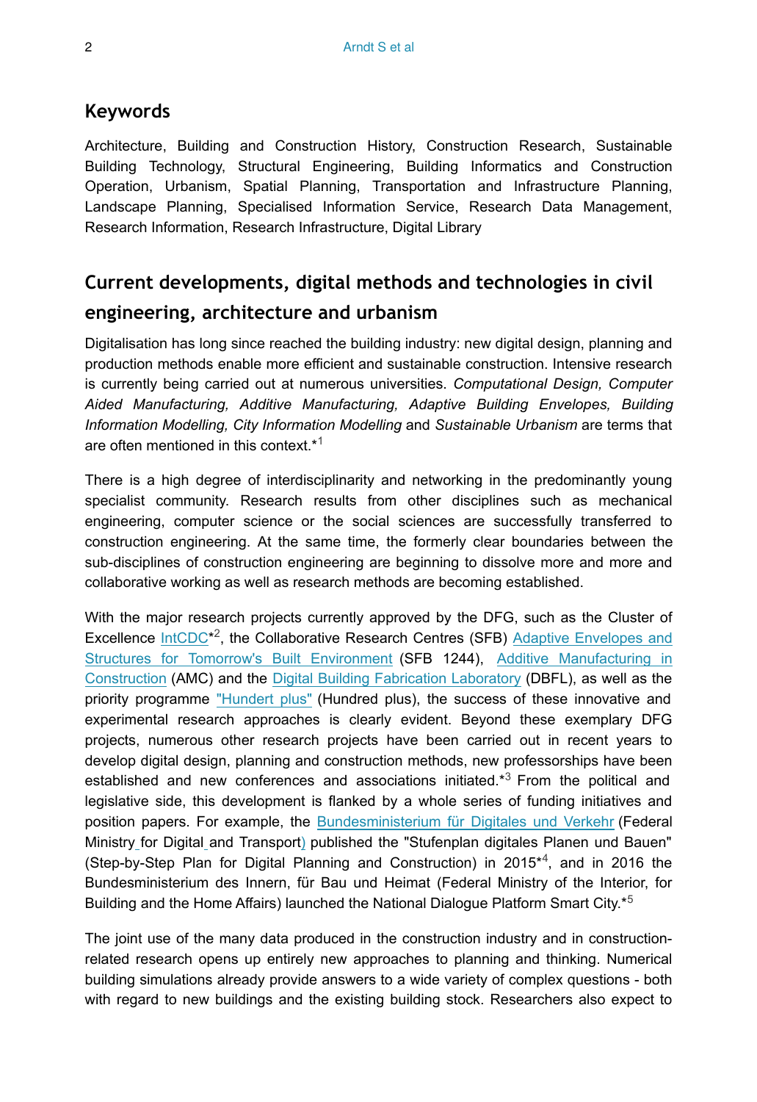#### **Keywords**

Architecture, Building and Construction History, Construction Research, Sustainable Building Technology, Structural Engineering, Building Informatics and Construction Operation, Urbanism, Spatial Planning, Transportation and Infrastructure Planning, Landscape Planning, Specialised Information Service, Research Data Management, Research Information, Research Infrastructure, Digital Library

## **Current developments, digital methods and technologies in civil engineering, architecture and urbanism**

Digitalisation has long since reached the building industry: new digital design, planning and production methods enable more efficient and sustainable construction. Intensive research is currently being carried out at numerous universities. *Computational Design, Computer Aided Manufacturing, Additive Manufacturing, Adaptive Building Envelopes, Building Information Modelling, City Information Modelling* and *Sustainable Urbanism* are terms that are often mentioned in this context.\* [1](#page-16-0)

There is a high degree of interdisciplinarity and networking in the predominantly young specialist community. Research results from other disciplines such as mechanical engineering, computer science or the social sciences are successfully transferred to construction engineering. At the same time, the formerly clear boundaries between the sub-disciplines of construction engineering are beginning to dissolve more and more and collaborative working as well as research methods are becoming established.

With the major research projects currently approved by the DFG, such as the Cluster of Excellence  $IntCDC^{*2}$ , the Collaborative Research Centres (SFB) [Adaptive Envelopes and](https://www.sfb1244.uni-stuttgart.de) [Structures for Tomorrow's Built Environment](https://www.sfb1244.uni-stuttgart.de) (SFB 1244), [Additive Manufacturing in](http://www.tu-braunschweig.de/trr277) [Construction](http://www.tu-braunschweig.de/trr277) (AMC) and the [Digital Building Fabrication Laboratory](http://www.tu-braunschweig.de/ite/forschung/dbfll) (DBFL), as well as the priority programme ["Hundert plus"](https://tu-dresden.de/bu/bauingenieurwesen/imb/forschung/spp-2388) (Hundred plus), the success of these innovative and experimental research approaches is clearly evident. Beyond these exemplary DFG projects, numerous other research projects have been carried out in recent years to develop digital design, planning and construction methods, new professorships have been establishedand new conferences and associations initiated. $*3$  From the political and legislative side, this development is flanked by a whole series of funding initiatives and position papers. For example, the [Bundesministerium für Digitales und Verkehr](https://www.bmvi.de/DE/Home/home.html) (Federal Ministr[y](https://www.bmvi.de/DE/Home/home.html) for Digital and Transport[\)](https://www.bmvi.de/DE/Home/home.html) published the "Stufenplan digitales Planen und Bauen" (Step-by-Step Plan for Digital Planning and Construction) in  $2015*<sup>4</sup>$ , and in 2016 the Bundesministerium des Innern, für Bau und Heimat (Federal Ministry of the Interior, for Building and the Home Affairs) launched the National Dialogue Platform Smart City.\*<sup>[5](#page-16-4)</sup>

The joint use of the many data produced in the construction industry and in constructionrelated research opens up entirely new approaches to planning and thinking. Numerical building simulations already provide answers to a wide variety of complex questions - both with regard to new buildings and the existing building stock. Researchers also expect to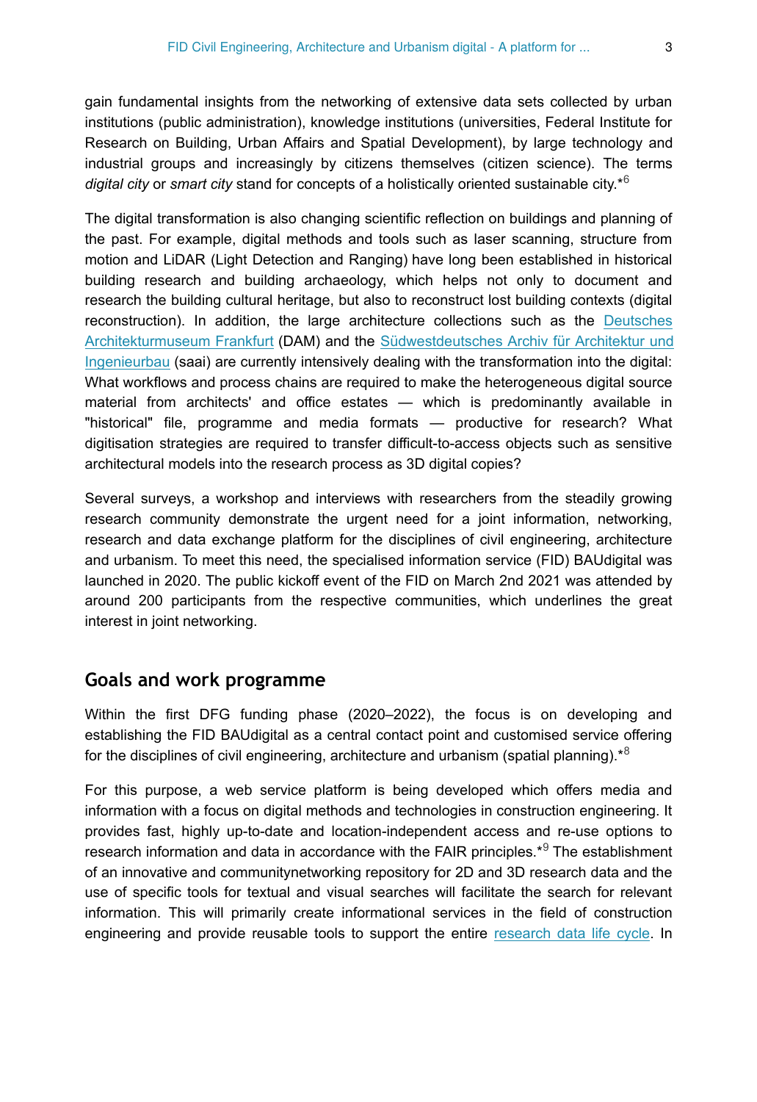gain fundamental insights from the networking of extensive data sets collected by urban institutions (public administration), knowledge institutions (universities, Federal Institute for Research on Building, Urban Affairs and Spatial Development), by large technology and industrial groups and increasingly by citizens themselves (citizen science). The terms *digital city* or *smart city* stand for concepts of a holistically oriented sustainable city.\* [6](#page-16-5)

The digital transformation is also changing scientific reflection on buildings and planning of the past. For example, digital methods and tools such as laser scanning, structure from motion and LiDAR (Light Detection and Ranging) have long been established in historical building research and building archaeology, which helps not only to document and research the building cultural heritage, but also to reconstruct lost building contexts (digital reconstruction). In addition, the large architecture collections such as the [Deutsches](https://dam-online.de/) [Architekturmuseum Frankfurt](https://dam-online.de/) (DAM) and the [Südwestdeutsches Archiv für Architektur und](https://www.saai.kit.edu/) [Ingenieurbau](https://www.saai.kit.edu/) (saai) are currently intensively dealing with the transformation into the digital: What workflows and process chains are required to make the heterogeneous digital source material from architects' and office estates — which is predominantly available in "historical" file, programme and media formats — productive for research? What digitisation strategies are required to transfer difficult-to-access objects such as sensitive architectural models into the research process as 3D digital copies?

Several surveys, a workshop and interviews with researchers from the steadily growing research community demonstrate the urgent need for a joint information, networking, research and data exchange platform for the disciplines of civil engineering, architecture and urbanism. To meet this need, the specialised information service (FID) BAUdigital was launched in 2020. The public kickoff event of the FID on March 2nd 2021 was attended by around 200 participants from the respective communities, which underlines the great interest in joint networking.

#### **Goals and work programme**

Within the first DFG funding phase (2020–2022), the focus is on developing and establishing the FID BAUdigital as a central contact point and customised service offering for the disciplines of civil engineering, architecture and urbanism (spatial planning). $*8$  $*8$ 

For this purpose, a web service platform is being developed which offers media and information with a focus on digital methods and technologies in construction engineering. It provides fast, highly up-to-date and location-independent access and re-use options to researchinformation and data in accordance with the FAIR principles. $*$ <sup>9</sup> The establishment of an innovative and communitynetworking repository for 2D and 3D research data and the use of specific tools for textual and visual searches will facilitate the search for relevant information. This will primarily create informational services in the field of construction engineering and provide reusable tools to support the entire [research data life cycle](http://https://www.forschungsdaten.info/themen/informieren-und-planen/datenlebenszyklus/.). In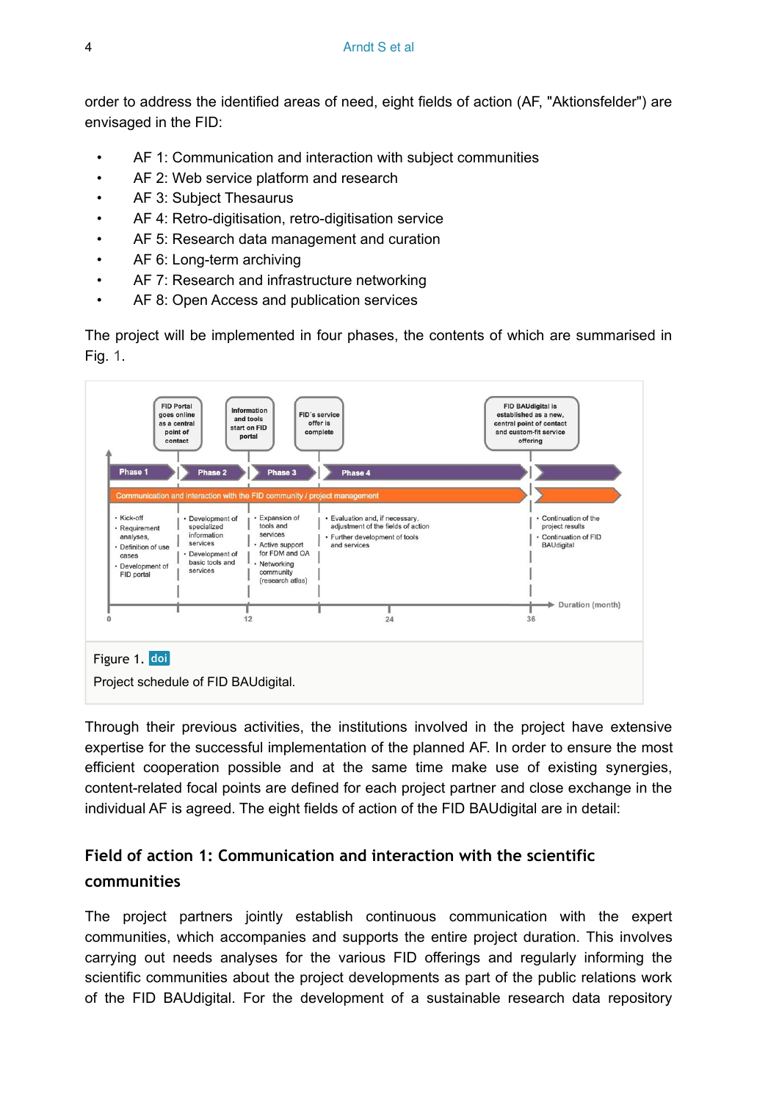order to address the identified areas of need, eight fields of action (AF, "Aktionsfelder") are envisaged in the FID:

- AF 1: Communication and interaction with subject communities
- AF 2: Web service platform and research
- AF 3: Subject Thesaurus
- AF 4: Retro-digitisation, retro-digitisation service
- AF 5: Research data management and curation
- AF 6: Long-term archiving
- AF 7: Research and infrastructure networking
- AF 8: Open Access and publication services

The project will be implemented in four phases, the contents of which are summarised in Fig. [1.](#page-3-0)

<span id="page-3-0"></span>

Through their previous activities, the institutions involved in the project have extensive expertise for the successful implementation of the planned AF. In order to ensure the most efficient cooperation possible and at the same time make use of existing synergies, content-related focal points are defined for each project partner and close exchange in the individual AF is agreed. The eight fields of action of the FID BAUdigital are in detail:

## <span id="page-3-1"></span>**Field of action 1: Communication and interaction with the scientific communities**

The project partners jointly establish continuous communication with the expert communities, which accompanies and supports the entire project duration. This involves carrying out needs analyses for the various FID offerings and regularly informing the scientific communities about the project developments as part of the public relations work of the FID BAUdigital. For the development of a sustainable research data repository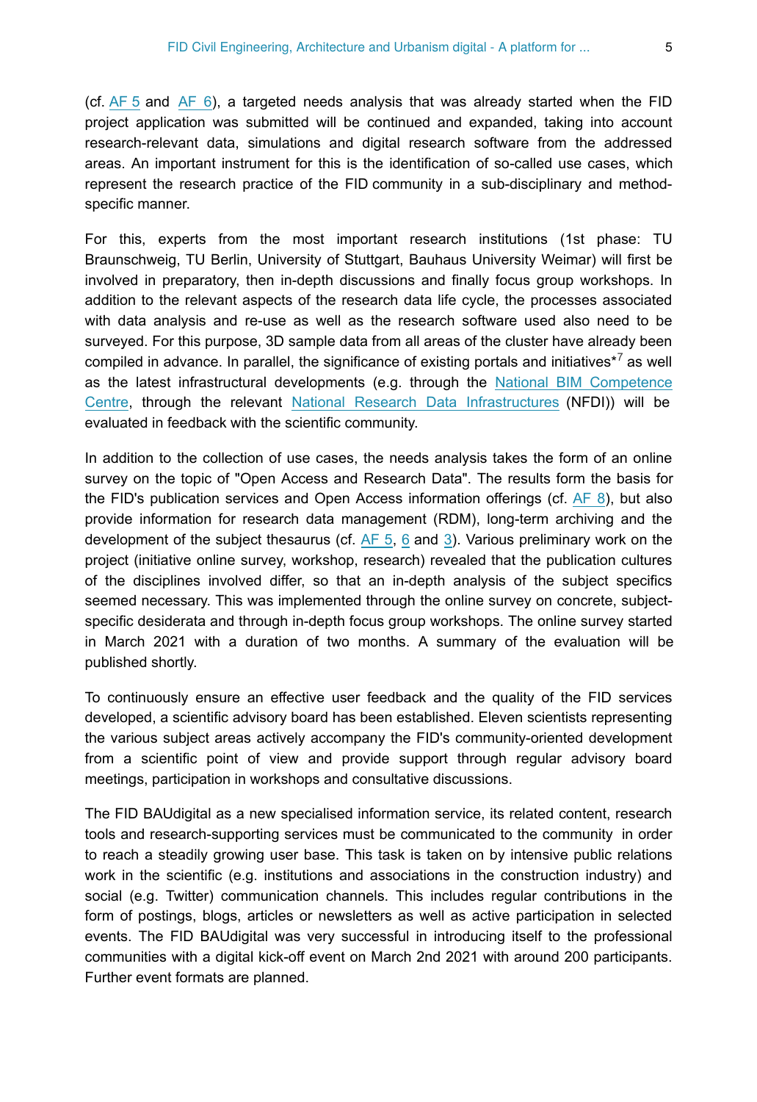(cf.  $AF 5$  and  $AF 6$ ), a targeted needs analysis that was already started when the FID project application was submitted will be continued and expanded, taking into account research-relevant data, simulations and digital research software from the addressed areas. An important instrument for this is the identification of so-called use cases, which represent the research practice of the FID community in a sub-disciplinary and methodspecific manner.

For this, experts from the most important research institutions (1st phase: TU Braunschweig, TU Berlin, University of Stuttgart, Bauhaus University Weimar) will first be involved in preparatory, then in-depth discussions and finally focus group workshops. In addition to the relevant aspects of the research data life cycle, the processes associated with data analysis and re-use as well as the research software used also need to be surveyed. For this purpose, 3D sample data from all areas of the cluster have already been compiledin advance. In parallel, the significance of existing portals and initiatives $*^{7}$  as well as the latest infrastructural developments (e.g. through the [National BIM Competence](https://www.bimdeutschland.de) [Centre](https://www.bimdeutschland.de), through the relevant [National Research Data Infrastructures](https://www.nfdi.de) (NFDI)) will be evaluated in feedback with the scientific community.

In addition to the collection of use cases, the needs analysis takes the form of an online survey on the topic of "Open Access and Research Data". The results form the basis for the FID's publication services and Open Access information offerings (cf.  $AF$  8), but also provide information for research data management (RDM), long-term archiving and the development of the subject thesaurus (cf.  $AF$  5, [6](#page-9-0) and [3](#page-5-0)). Various preliminary work on the project (initiative online survey, workshop, research) revealed that the publication cultures of the disciplines involved differ, so that an in-depth analysis of the subject specifics seemed necessary. This was implemented through the online survey on concrete, subjectspecific desiderata and through in-depth focus group workshops. The online survey started in March 2021 with a duration of two months. A summary of the evaluation will be published shortly.

To continuously ensure an effective user feedback and the quality of the FID services developed, a scientific advisory board has been established. Eleven scientists representing the various subject areas actively accompany the FID's community-oriented development from a scientific point of view and provide support through regular advisory board meetings, participation in workshops and consultative discussions.

The FID BAUdigital as a new specialised information service, its related content, research tools and research-supporting services must be communicated to the community in order to reach a steadily growing user base. This task is taken on by intensive public relations work in the scientific (e.g. institutions and associations in the construction industry) and social (e.g. Twitter) communication channels. This includes regular contributions in the form of postings, blogs, articles or newsletters as well as active participation in selected events. The FID BAUdigital was very successful in introducing itself to the professional communities with a digital kick-off event on March 2nd 2021 with around 200 participants. Further event formats are planned.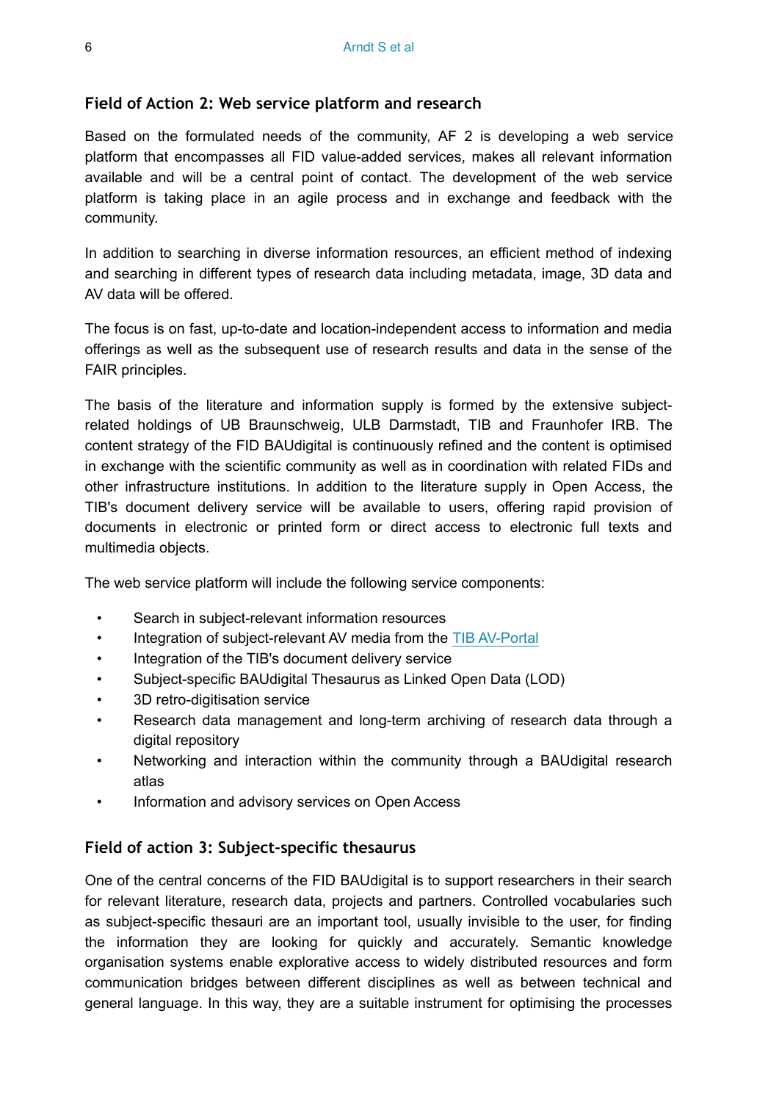#### <span id="page-5-1"></span>**Field of Action 2: Web service platform and research**

Based on the formulated needs of the community, AF 2 is developing a web service platform that encompasses all FID value-added services, makes all relevant information available and will be a central point of contact. The development of the web service platform is taking place in an agile process and in exchange and feedback with the community.

In addition to searching in diverse information resources, an efficient method of indexing and searching in different types of research data including metadata, image, 3D data and AV data will be offered.

The focus is on fast, up-to-date and location-independent access to information and media offerings as well as the subsequent use of research results and data in the sense of the FAIR principles.

The basis of the literature and information supply is formed by the extensive subjectrelated holdings of UB Braunschweig, ULB Darmstadt, TIB and Fraunhofer IRB. The content strategy of the FID BAUdigital is continuously refined and the content is optimised in exchange with the scientific community as well as in coordination with related FIDs and other infrastructure institutions. In addition to the literature supply in Open Access, the TIB's document delivery service will be available to users, offering rapid provision of documents in electronic or printed form or direct access to electronic full texts and multimedia objects.

The web service platform will include the following service components:

- Search in subject-relevant information resources
- Integration of subject-relevant AV media from the [TIB AV-Portal](https://av.tib.eu/)
- Integration of the TIB's document delivery service
- Subject-specific BAUdigital Thesaurus as Linked Open Data (LOD)
- 3D retro-digitisation service
- Research data management and long-term archiving of research data through a digital repository
- Networking and interaction within the community through a BAUdigital research atlas
- Information and advisory services on Open Access

#### <span id="page-5-0"></span>**Field of action 3: Subject-specific thesaurus**

One of the central concerns of the FID BAUdigital is to support researchers in their search for relevant literature, research data, projects and partners. Controlled vocabularies such as subject-specific thesauri are an important tool, usually invisible to the user, for finding the information they are looking for quickly and accurately. Semantic knowledge organisation systems enable explorative access to widely distributed resources and form communication bridges between different disciplines as well as between technical and general language. In this way, they are a suitable instrument for optimising the processes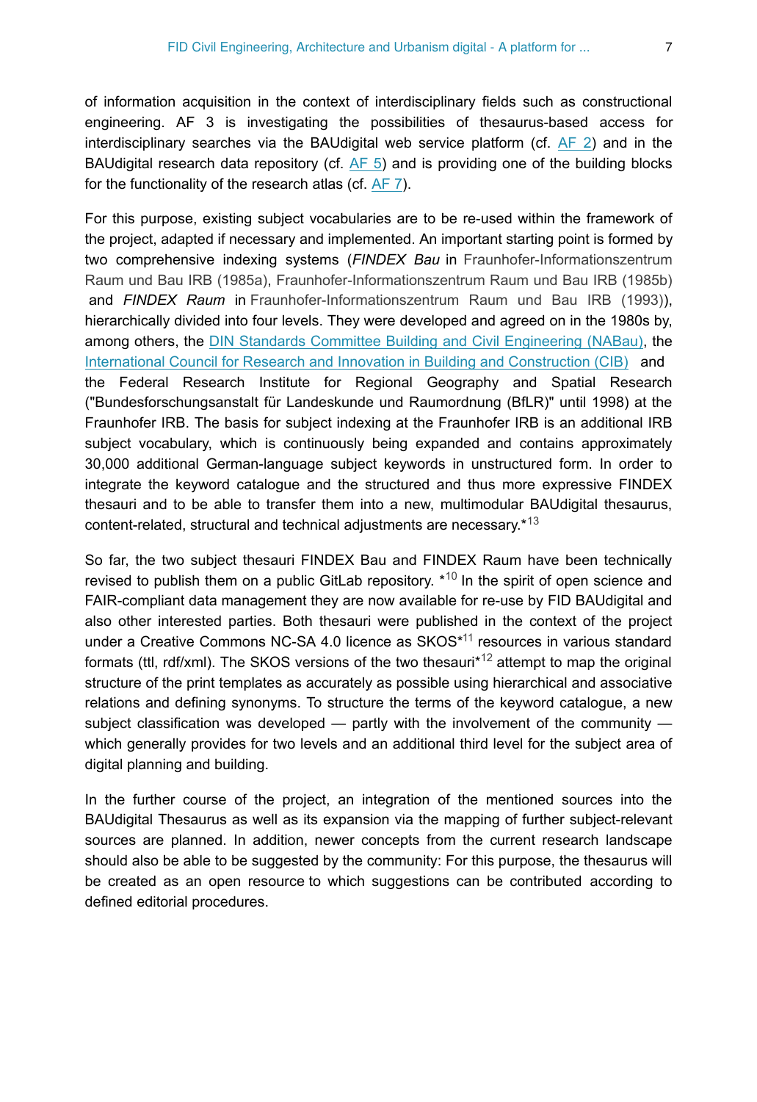of information acquisition in the context of interdisciplinary fields such as constructional engineering. AF 3 is investigating the possibilities of thesaurus-based access for interdisciplinary searches via the BAUdigital web service platform (cf. [AF 2](#page-5-1)) and in the BAUdigital research data repository (cf. [AF 5\)](#page-8-0) and is providing one of the building blocks for the functionality of the research atlas (cf. [AF 7\)](#page-10-0).

For this purpose, existing subject vocabularies are to be re-used within the framework of the project, adapted if necessary and implemented. An important starting point is formed by two comprehensive indexing systems (*FINDEX Bau* in [Fraunhofer-Informationszentrum](#page-15-0) [Raum und Bau IRB \(1985a\)](#page-15-0), [Fraunhofer-Informationszentrum Raum und Bau IRB \(1985b\)](#page-15-1) and *FINDEX Raum* in [Fraunhofer-Informationszentrum Raum und Bau IRB \(1993\)\)](#page-15-2), hierarchically divided into four levels. They were developed and agreed on in the 1980s by, among others, the [DIN Standards Committee Building and Civil Engineering \(NABau\)](https://www.din.de/en/getting-involved/standards-committees/nabau), the [International Council for Research and Innovation in Building and Construction \(CIB\)](https://cibworld.org/) and the Federal Research Institute for Regional Geography and Spatial Research ("Bundesforschungsanstalt für Landeskunde und Raumordnung (BfLR)" until 1998) at the Fraunhofer IRB. The basis for subject indexing at the Fraunhofer IRB is an additional IRB subject vocabulary, which is continuously being expanded and contains approximately 30,000 additional German-language subject keywords in unstructured form. In order to integrate the keyword catalogue and the structured and thus more expressive FINDEX thesauri and to be able to transfer them into a new, multimodular BAUdigital thesaurus, content-related, structural and technical adjustments are necessary.\*<sup>[13](#page-17-0)</sup>

So far, the two subject thesauri FINDEX Bau and FINDEX Raum have been technically revised to publish them on a public GitLab repository.  $*^{10}$  $*^{10}$  $*^{10}$  In the spirit of open science and FAIR-compliant data management they are now available for re-use by FID BAUdigital and also other interested parties. Both thesauri were published in the context of the project under a Creative Commons NC-SA 4.0 licence as  $SKOS*11}$  $SKOS*11}$  $SKOS*11}$  resources in various standard formats (ttl, rdf/xml). The SKOS versions of the two thesauri $*^{12}$  attempt to map the original structure of the print templates as accurately as possible using hierarchical and associative relations and defining synonyms. To structure the terms of the keyword catalogue, a new subject classification was developed — partly with the involvement of the community which generally provides for two levels and an additional third level for the subject area of digital planning and building.

In the further course of the project, an integration of the mentioned sources into the BAUdigital Thesaurus as well as its expansion via the mapping of further subject-relevant sources are planned. In addition, newer concepts from the current research landscape should also be able to be suggested by the community: For this purpose, the thesaurus will be created as an open resource to which suggestions can be contributed according to defined editorial procedures.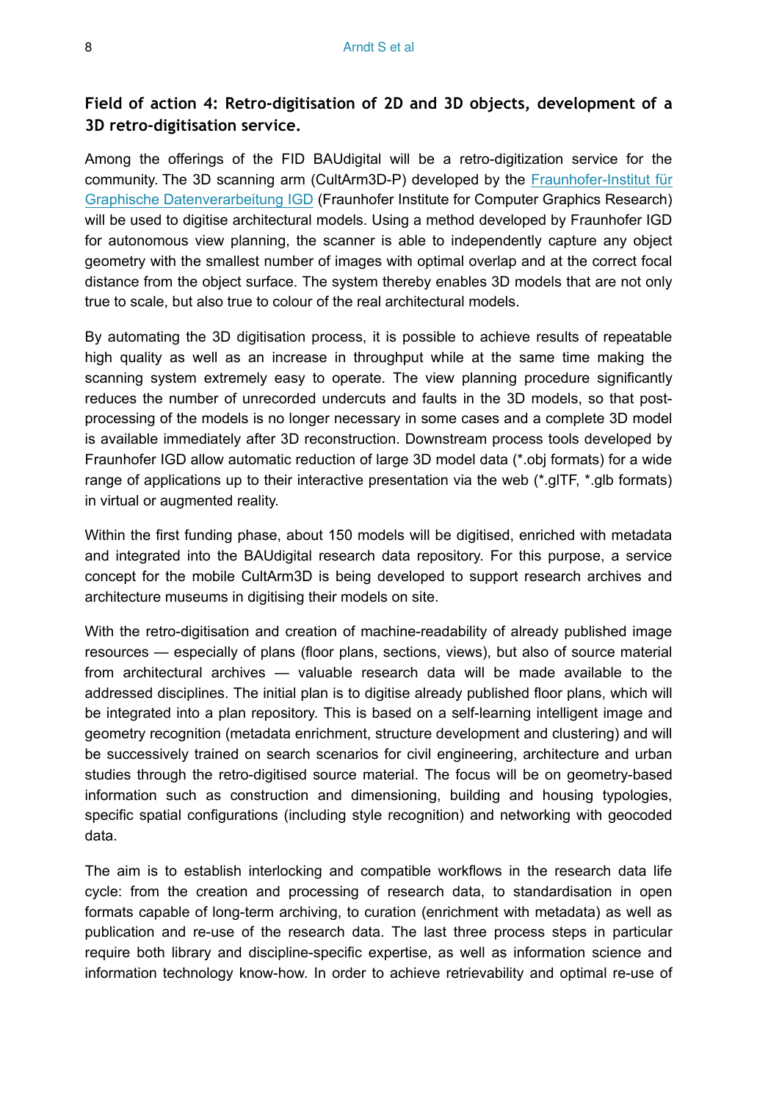#### **Field of action 4: Retro-digitisation of 2D and 3D objects, development of a 3D retro-digitisation service.**

Among the offerings of the FID BAUdigital will be a retro-digitization service for the community. The 3D scanning arm (CultArm3D-P) developed by the [Fraunhofer-Institut für](http://www.igd.fraunhofer.de) [Graphische Datenverarbeitung IGD](http://www.igd.fraunhofer.de) (Fraunhofer Institute for Computer Graphics Research) will be used to digitise architectural models. Using a method developed by Fraunhofer IGD for autonomous view planning, the scanner is able to independently capture any object geometry with the smallest number of images with optimal overlap and at the correct focal distance from the object surface. The system thereby enables 3D models that are not only true to scale, but also true to colour of the real architectural models.

By automating the 3D digitisation process, it is possible to achieve results of repeatable high quality as well as an increase in throughput while at the same time making the scanning system extremely easy to operate. The view planning procedure significantly reduces the number of unrecorded undercuts and faults in the 3D models, so that postprocessing of the models is no longer necessary in some cases and a complete 3D model is available immediately after 3D reconstruction. Downstream process tools developed by Fraunhofer IGD allow automatic reduction of large 3D model data (\*.obj formats) for a wide range of applications up to their interactive presentation via the web  $(*.gITF, *.glb$  formats) in virtual or augmented reality.

Within the first funding phase, about 150 models will be digitised, enriched with metadata and integrated into the BAUdigital research data repository. For this purpose, a service concept for the mobile CultArm3D is being developed to support research archives and architecture museums in digitising their models on site.

With the retro-digitisation and creation of machine-readability of already published image resources — especially of plans (floor plans, sections, views), but also of source material from architectural archives — valuable research data will be made available to the addressed disciplines. The initial plan is to digitise already published floor plans, which will be integrated into a plan repository. This is based on a self-learning intelligent image and geometry recognition (metadata enrichment, structure development and clustering) and will be successively trained on search scenarios for civil engineering, architecture and urban studies through the retro-digitised source material. The focus will be on geometry-based information such as construction and dimensioning, building and housing typologies, specific spatial configurations (including style recognition) and networking with geocoded data.

The aim is to establish interlocking and compatible workflows in the research data life cycle: from the creation and processing of research data, to standardisation in open formats capable of long-term archiving, to curation (enrichment with metadata) as well as publication and re-use of the research data. The last three process steps in particular require both library and discipline-specific expertise, as well as information science and information technology know-how. In order to achieve retrievability and optimal re-use of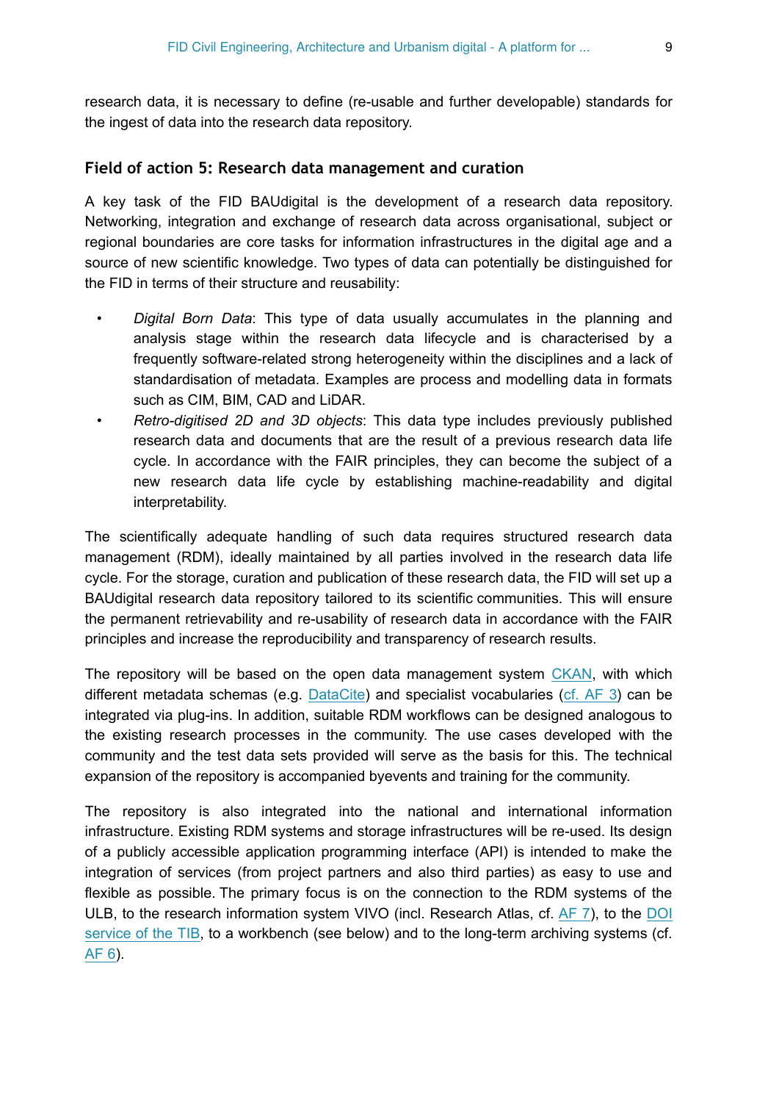research data, it is necessary to define (re-usable and further developable) standards for the ingest of data into the research data repository.

#### <span id="page-8-0"></span>**Field of action 5: Research data management and curation**

A key task of the FID BAUdigital is the development of a research data repository. Networking, integration and exchange of research data across organisational, subject or regional boundaries are core tasks for information infrastructures in the digital age and a source of new scientific knowledge. Two types of data can potentially be distinguished for the FID in terms of their structure and reusability:

- *Digital Born Data*: This type of data usually accumulates in the planning and analysis stage within the research data lifecycle and is characterised by a frequently software-related strong heterogeneity within the disciplines and a lack of standardisation of metadata. Examples are process and modelling data in formats such as CIM, BIM, CAD and LiDAR.
- *Retro-digitised 2D and 3D objects*: This data type includes previously published research data and documents that are the result of a previous research data life cycle. In accordance with the FAIR principles, they can become the subject of a new research data life cycle by establishing machine-readability and digital interpretability.

The scientifically adequate handling of such data requires structured research data management (RDM), ideally maintained by all parties involved in the research data life cycle. For the storage, curation and publication of these research data, the FID will set up a BAUdigital research data repository tailored to its scientific communities. This will ensure the permanent retrievability and re-usability of research data in accordance with the FAIR principles and increase the reproducibility and transparency of research results.

The repository will be based on the open data management system [CKAN,](https://ckan.org) with which different metadata schemas (e.g. [DataCite](https://schema.datacite.org)) and specialist vocabularies [\(cf. AF 3\)](#page-5-0) can be integrated via plug-ins. In addition, suitable RDM workflows can be designed analogous to the existing research processes in the community. The use cases developed with the community and the test data sets provided will serve as the basis for this. The technical expansion of the repository is accompanied byevents and training for the community.

The repository is also integrated into the national and international information infrastructure. Existing RDM systems and storage infrastructures will be re-used. Its design of a publicly accessible application programming interface (API) is intended to make the integration of services (from project partners and also third parties) as easy to use and flexible as possible. The primary focus is on the connection to the RDM systems of the ULB, to the research information system VIVO (incl. Research Atlas, cf. [AF 7\)](#page-10-0), to the [DOI](https://www.tib.eu/en/publishing-archiving/pid-service) [service of the TIB](https://www.tib.eu/en/publishing-archiving/pid-service), to a workbench (see below) and to the long-term archiving systems (cf. [AF 6](#page-9-0)).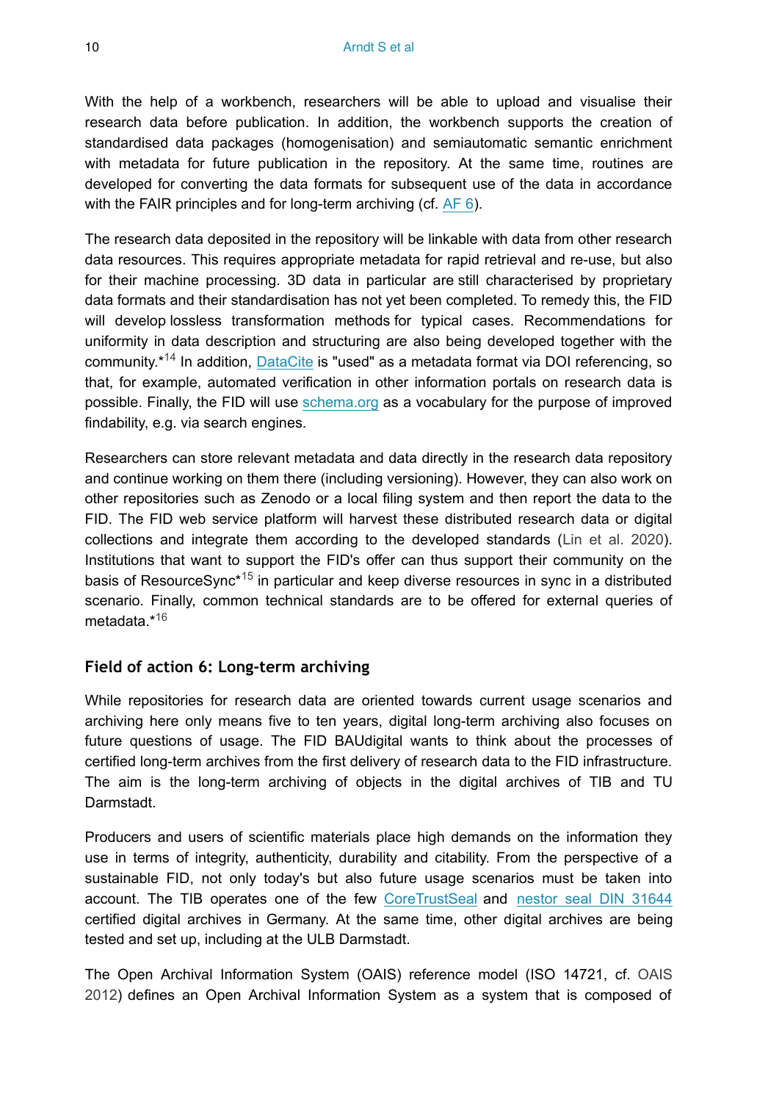With the help of a workbench, researchers will be able to upload and visualise their research data before publication. In addition, the workbench supports the creation of standardised data packages (homogenisation) and semiautomatic semantic enrichment with metadata for future publication in the repository. At the same time, routines are developed for converting the data formats for subsequent use of the data in accordance with the FAIR principles and for long-term archiving (cf. [AF 6\)](#page-9-0).

The research data deposited in the repository will be linkable with data from other research data resources. This requires appropriate metadata for rapid retrieval and re-use, but also for their machine processing. 3D data in particular are still characterised by proprietary data formats and their standardisation has not yet been completed. To remedy this, the FID will develop lossless transformation methods for typical cases. Recommendations for uniformity in data description and structuring are also being developed together with the community.\*<sup>14</sup> In addition, [DataCite](https://datacite.org/) is "used" as a metadata format via DOI referencing, so that, for example, automated verification in other information portals on research data is possible. Finally, the FID will use [schema.org](https://schema.org/.) as a vocabulary for the purpose of improved findability, e.g. via search engines.

Researchers can store relevant metadata and data directly in the research data repository and continue working on them there (including versioning). However, they can also work on other repositories such as Zenodo or a local filing system and then report the data to the FID. The FID web service platform will harvest these distributed research data or digital collections and integrate them according to the developed standards [\(Lin et al. 2020\)](#page-15-3). Institutions that want to support the FID's offer can thus support their community on the basis of ResourceSync\*<sup>15</sup> in particular and keep diverse resources in sync in a distributed scenario. Finally, common technical standards are to be offered for external queries of metadata.\* [16](#page-17-5)

#### <span id="page-9-0"></span>**Field of action 6: Long-term archiving**

While repositories for research data are oriented towards current usage scenarios and archiving here only means five to ten years, digital long-term archiving also focuses on future questions of usage. The FID BAUdigital wants to think about the processes of certified long-term archives from the first delivery of research data to the FID infrastructure. The aim is the long-term archiving of objects in the digital archives of TIB and TU Darmstadt.

Producers and users of scientific materials place high demands on the information they use in terms of integrity, authenticity, durability and citability. From the perspective of a sustainable FID, not only today's but also future usage scenarios must be taken into account. The TIB operates one of the few [CoreTrustSeal](https://www.coretrustseal.org/) and [nestor seal DIN 31644](https://www.langzeitarchivierung.de/Webs/nestor/DE/Zertifizierung/nestor_Siegel/nestor_siegel_node.html) certified digital archives in Germany. At the same time, other digital archives are being tested and set up, including at the ULB Darmstadt.

The Open Archival Information System (OAIS) reference model (ISO 14721, cf. [OAIS](#page-15-4) [2012](#page-15-4)) defines an Open Archival Information System as a system that is composed of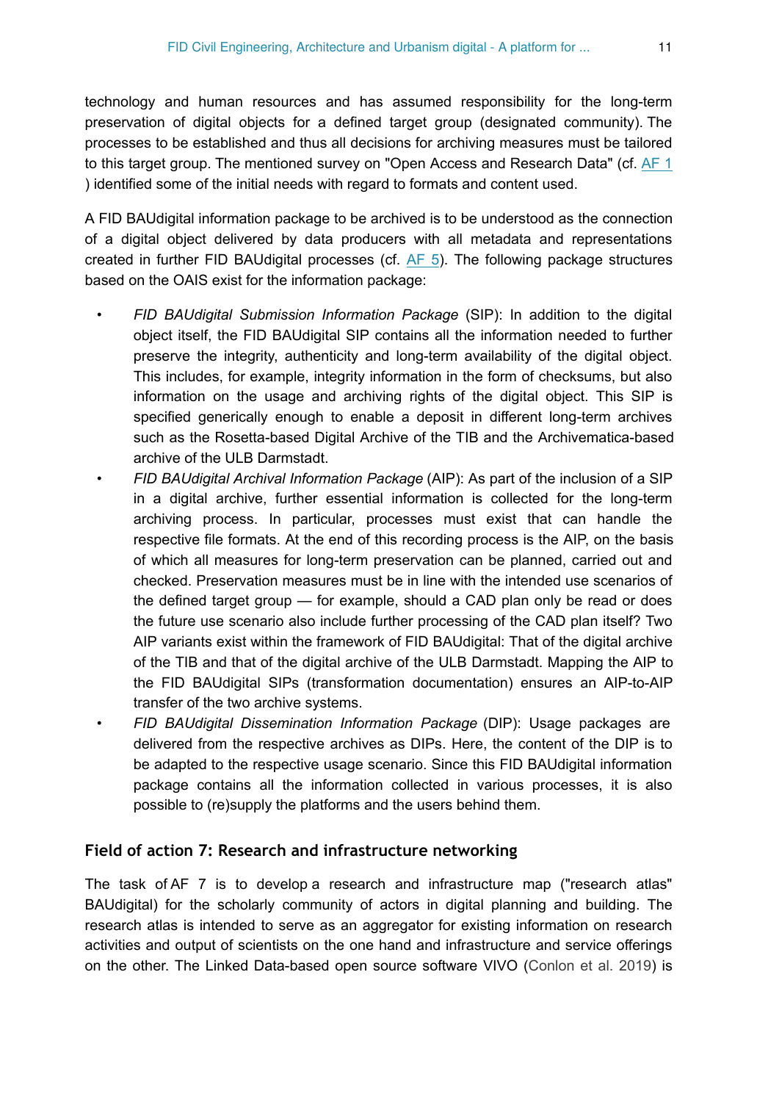technology and human resources and has assumed responsibility for the long-term preservation of digital objects for a defined target group (designated community). The processes to be established and thus all decisions for archiving measures must be tailored to this target group. The mentioned survey on "Open Access and Research Data" (cf. [AF 1](#page-3-1) ) identified some of the initial needs with regard to formats and content used.

A FID BAUdigital information package to be archived is to be understood as the connection of a digital object delivered by data producers with all metadata and representations created in further FID BAUdigital processes (cf. [AF 5](#page-8-0)). The following package structures based on the OAIS exist for the information package:

- *FID BAUdigital Submission Information Package* (SIP): In addition to the digital object itself, the FID BAUdigital SIP contains all the information needed to further preserve the integrity, authenticity and long-term availability of the digital object. This includes, for example, integrity information in the form of checksums, but also information on the usage and archiving rights of the digital object. This SIP is specified generically enough to enable a deposit in different long-term archives such as the Rosetta-based Digital Archive of the TIB and the Archivematica-based archive of the ULB Darmstadt.
- *FID BAUdigital Archival Information Package* (AIP): As part of the inclusion of a SIP in a digital archive, further essential information is collected for the long-term archiving process. In particular, processes must exist that can handle the respective file formats. At the end of this recording process is the AIP, on the basis of which all measures for long-term preservation can be planned, carried out and checked. Preservation measures must be in line with the intended use scenarios of the defined target group — for example, should a CAD plan only be read or does the future use scenario also include further processing of the CAD plan itself? Two AIP variants exist within the framework of FID BAUdigital: That of the digital archive of the TIB and that of the digital archive of the ULB Darmstadt. Mapping the AIP to the FID BAUdigital SIPs (transformation documentation) ensures an AIP-to-AIP transfer of the two archive systems.
- *FID BAUdigital Dissemination Information Package* (DIP): Usage packages are delivered from the respective archives as DIPs. Here, the content of the DIP is to be adapted to the respective usage scenario. Since this FID BAUdigital information package contains all the information collected in various processes, it is also possible to (re)supply the platforms and the users behind them.

#### <span id="page-10-0"></span>**Field of action 7: Research and infrastructure networking**

The task of AF 7 is to develop a research and infrastructure map ("research atlas" BAUdigital) for the scholarly community of actors in digital planning and building. The research atlas is intended to serve as an aggregator for existing information on research activities and output of scientists on the one hand and infrastructure and service offerings on the other. The Linked Data-based open source software VIVO [\(Conlon et al. 2019](#page-15-5)) is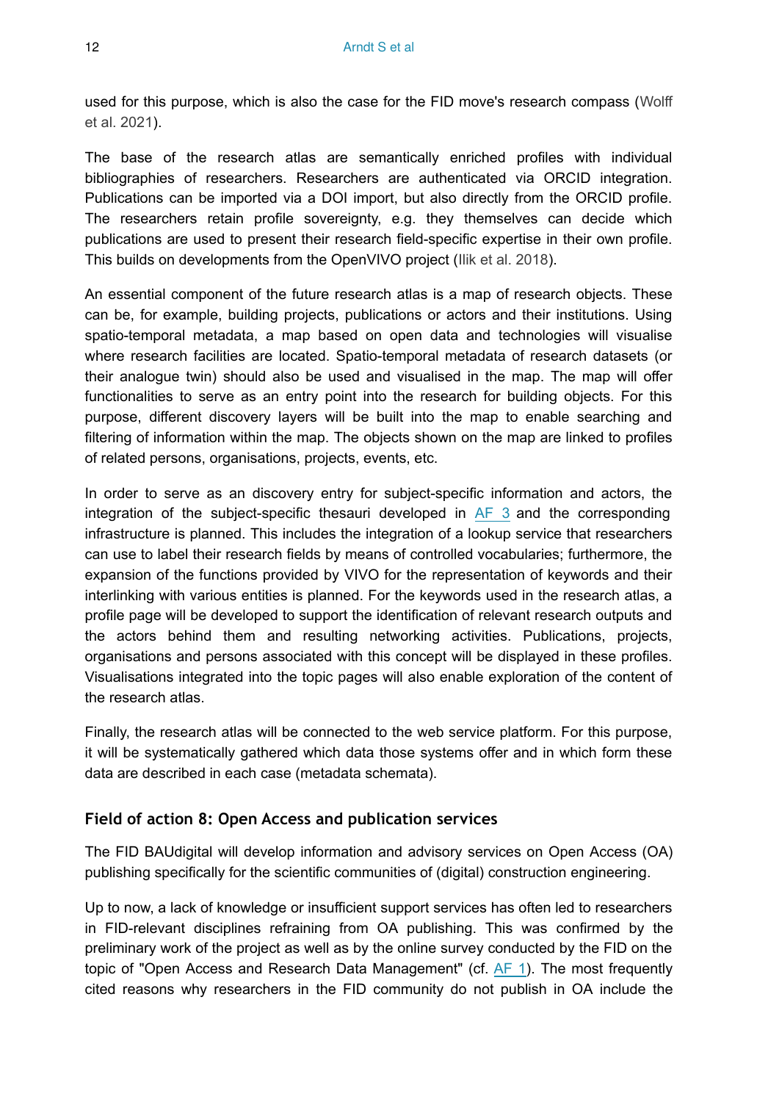used for this purpose, which is also the case for the FID move's research compass ([Wolff](#page-16-10) [et al. 2021](#page-16-10)).

The base of the research atlas are semantically enriched profiles with individual bibliographies of researchers. Researchers are authenticated via ORCID integration. Publications can be imported via a DOI import, but also directly from the ORCID profile. The researchers retain profile sovereignty, e.g. they themselves can decide which publications are used to present their research field-specific expertise in their own profile. This builds on developments from the OpenVIVO project ([Ilik et al. 2018\)](#page-15-6).

An essential component of the future research atlas is a map of research objects. These can be, for example, building projects, publications or actors and their institutions. Using spatio-temporal metadata, a map based on open data and technologies will visualise where research facilities are located. Spatio-temporal metadata of research datasets (or their analogue twin) should also be used and visualised in the map. The map will offer functionalities to serve as an entry point into the research for building objects. For this purpose, different discovery layers will be built into the map to enable searching and filtering of information within the map. The objects shown on the map are linked to profiles of related persons, organisations, projects, events, etc.

In order to serve as an discovery entry for subject-specific information and actors, the integration of the subject-specific thesauri developed in [AF 3](#page-5-0) and the corresponding infrastructure is planned. This includes the integration of a lookup service that researchers can use to label their research fields by means of controlled vocabularies; furthermore, the expansion of the functions provided by VIVO for the representation of keywords and their interlinking with various entities is planned. For the keywords used in the research atlas, a profile page will be developed to support the identification of relevant research outputs and the actors behind them and resulting networking activities. Publications, projects, organisations and persons associated with this concept will be displayed in these profiles. Visualisations integrated into the topic pages will also enable exploration of the content of the research atlas.

Finally, the research atlas will be connected to the web service platform. For this purpose, it will be systematically gathered which data those systems offer and in which form these data are described in each case (metadata schemata).

#### <span id="page-11-0"></span>**Field of action 8: Open Access and publication services**

The FID BAUdigital will develop information and advisory services on Open Access (OA) publishing specifically for the scientific communities of (digital) construction engineering.

Up to now, a lack of knowledge or insufficient support services has often led to researchers in FID-relevant disciplines refraining from OA publishing. This was confirmed by the preliminary work of the project as well as by the online survey conducted by the FID on the topic of "Open Access and Research Data Management" (cf. [AF 1\)](#page-3-1). The most frequently cited reasons why researchers in the FID community do not publish in OA include the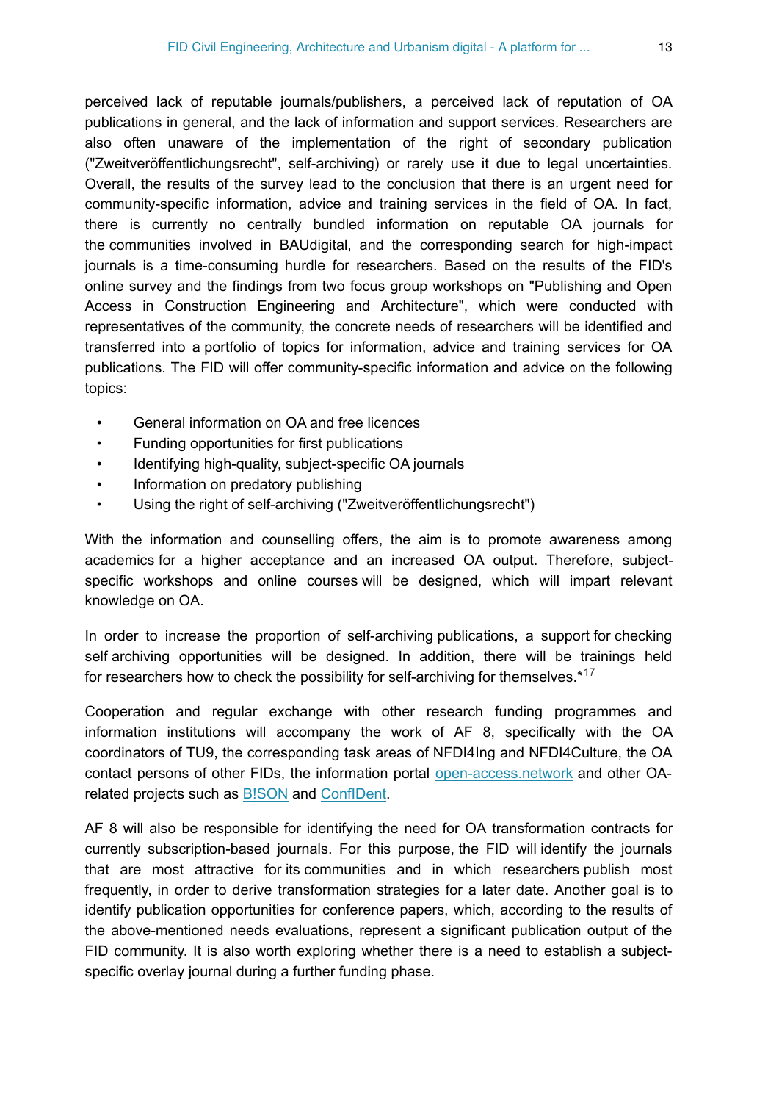perceived lack of reputable journals/publishers, a perceived lack of reputation of OA publications in general, and the lack of information and support services. Researchers are also often unaware of the implementation of the right of secondary publication ("Zweitveröffentlichungsrecht", self-archiving) or rarely use it due to legal uncertainties. Overall, the results of the survey lead to the conclusion that there is an urgent need for community-specific information, advice and training services in the field of OA. In fact, there is currently no centrally bundled information on reputable OA journals for the communities involved in BAUdigital, and the corresponding search for high-impact journals is a time-consuming hurdle for researchers. Based on the results of the FID's online survey and the findings from two focus group workshops on "Publishing and Open Access in Construction Engineering and Architecture", which were conducted with representatives of the community, the concrete needs of researchers will be identified and transferred into a portfolio of topics for information, advice and training services for OA publications. The FID will offer community-specific information and advice on the following topics:

- General information on OA and free licences
- Funding opportunities for first publications
- Identifying high-quality, subject-specific OA journals
- Information on predatory publishing
- Using the right of self-archiving ("Zweitveröffentlichungsrecht")

With the information and counselling offers, the aim is to promote awareness among academics for a higher acceptance and an increased OA output. Therefore, subjectspecific workshops and online courses will be designed, which will impart relevant knowledge on OA.

In order to increase the proportion of self-archiving publications, a support for checking self archiving opportunities will be designed. In addition, there will be trainings held for researchers how to check the possibility for self-archiving for themselves.\*<sup>[17](#page-17-6)</sup>

Cooperation and regular exchange with other research funding programmes and information institutions will accompany the work of AF 8, specifically with the OA coordinators of TU9, the corresponding task areas of NFDI4Ing and NFDI4Culture, the OA contact persons of other FIDs, the information portal [open-access.network](https://open-access.network/) and other OArelated projects such as [B!SON](https://projects.tib.eu/bison/) and [ConfIDent.](https://projects.tib.eu/confident/)

AF 8 will also be responsible for identifying the need for OA transformation contracts for currently subscription-based journals. For this purpose, the FID will identify the journals that are most attractive for its communities and in which researchers publish most frequently, in order to derive transformation strategies for a later date. Another goal is to identify publication opportunities for conference papers, which, according to the results of the above-mentioned needs evaluations, represent a significant publication output of the FID community. It is also worth exploring whether there is a need to establish a subjectspecific overlay journal during a further funding phase.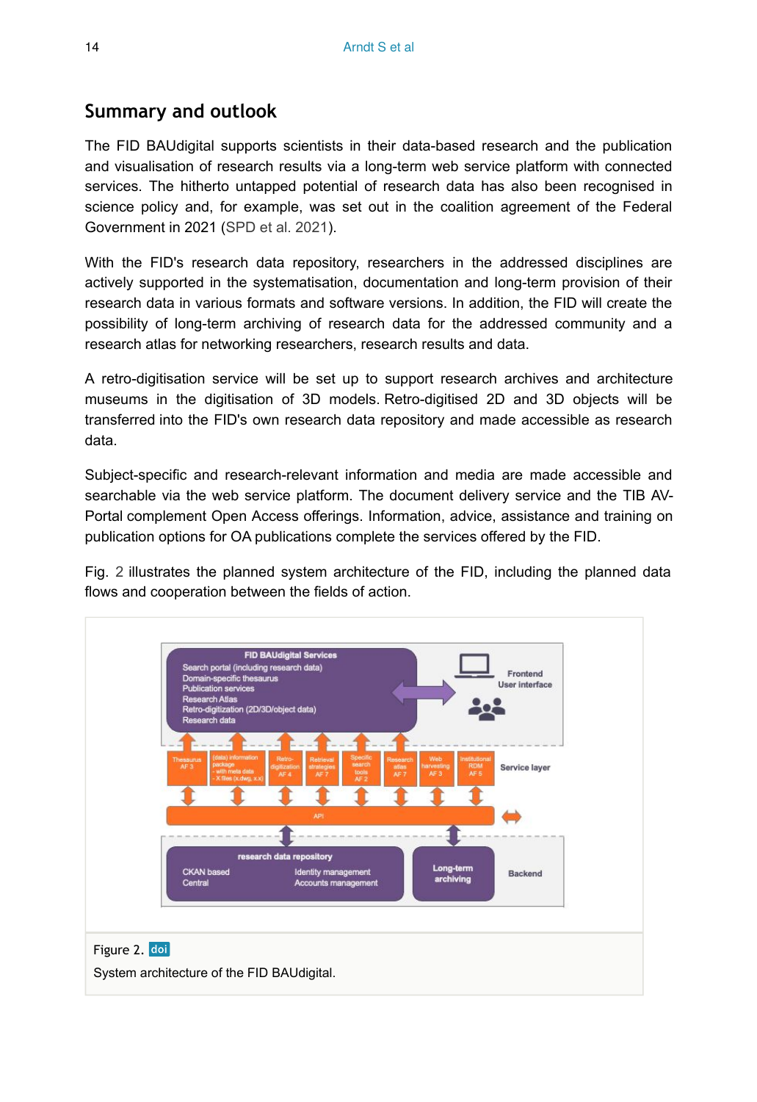## **Summary and outlook**

The FID BAUdigital supports scientists in their data-based research and the publication and visualisation of research results via a long-term web service platform with connected services. The hitherto untapped potential of research data has also been recognised in science policy and, for example, was set out in the coalition agreement of the Federal Government in 2021 [\(SPD et al. 2021\)](#page-15-7).

With the FID's research data repository, researchers in the addressed disciplines are actively supported in the systematisation, documentation and long-term provision of their research data in various formats and software versions. In addition, the FID will create the possibility of long-term archiving of research data for the addressed community and a research atlas for networking researchers, research results and data.

A retro-digitisation service will be set up to support research archives and architecture museums in the digitisation of 3D models. Retro-digitised 2D and 3D objects will be transferred into the FID's own research data repository and made accessible as research data.

Subject-specific and research-relevant information and media are made accessible and searchable via the web service platform. The document delivery service and the TIB AV-Portal complement Open Access offerings. Information, advice, assistance and training on publication options for OA publications complete the services offered by the FID.

Fig. [2](#page-13-0) illustrates the planned system architecture of the FID, including the planned data flows and cooperation between the fields of action.

<span id="page-13-0"></span>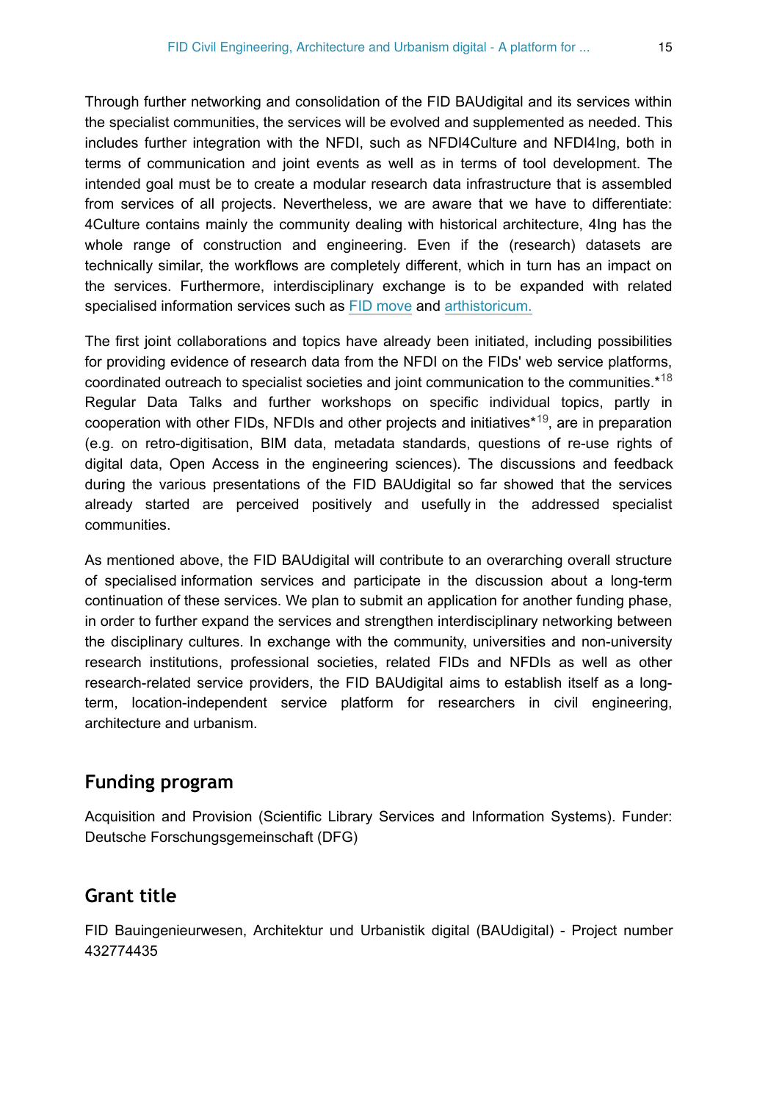Through further networking and consolidation of the FID BAUdigital and its services within the specialist communities, the services will be evolved and supplemented as needed. This includes further integration with the NFDI, such as NFDI4Culture and NFDI4Ing, both in terms of communication and joint events as well as in terms of tool development. The intended goal must be to create a modular research data infrastructure that is assembled from services of all projects. Nevertheless, we are aware that we have to differentiate: 4Culture contains mainly the community dealing with historical architecture, 4Ing has the whole range of construction and engineering. Even if the (research) datasets are technically similar, the workflows are completely different, which in turn has an impact on the services. Furthermore, interdisciplinary exchange is to be expanded with related specialised information services such as [FID move](https://fid-move.de) and [arthistoricum.](https://www.arthistoricum.net)

The first joint collaborations and topics have already been initiated, including possibilities for providing evidence of research data from the NFDI on the FIDs' web service platforms, coordinated outreach to specialist societies and joint communication to the communities.\*<sup>[18](#page-17-7)</sup> Regular Data Talks and further workshops on specific individual topics, partly in cooperation with other FIDs, NFDIs and other projects and initiatives<sup>\*19</sup>, are in preparation (e.g. on retro-digitisation, BIM data, metadata standards, questions of re-use rights of digital data, Open Access in the engineering sciences). The discussions and feedback during the various presentations of the FID BAUdigital so far showed that the services already started are perceived positively and usefully in the addressed specialist communities.

As mentioned above, the FID BAUdigital will contribute to an overarching overall structure of specialised information services and participate in the discussion about a long-term continuation of these services. We plan to submit an application for another funding phase, in order to further expand the services and strengthen interdisciplinary networking between the disciplinary cultures. In exchange with the community, universities and non-university research institutions, professional societies, related FIDs and NFDIs as well as other research-related service providers, the FID BAUdigital aims to establish itself as a longterm, location-independent service platform for researchers in civil engineering, architecture and urbanism.

## **Funding program**

Acquisition and Provision (Scientific Library Services and Information Systems). Funder: Deutsche Forschungsgemeinschaft (DFG)

#### **Grant title**

FID Bauingenieurwesen, Architektur und Urbanistik digital (BAUdigital) - Project number 432774435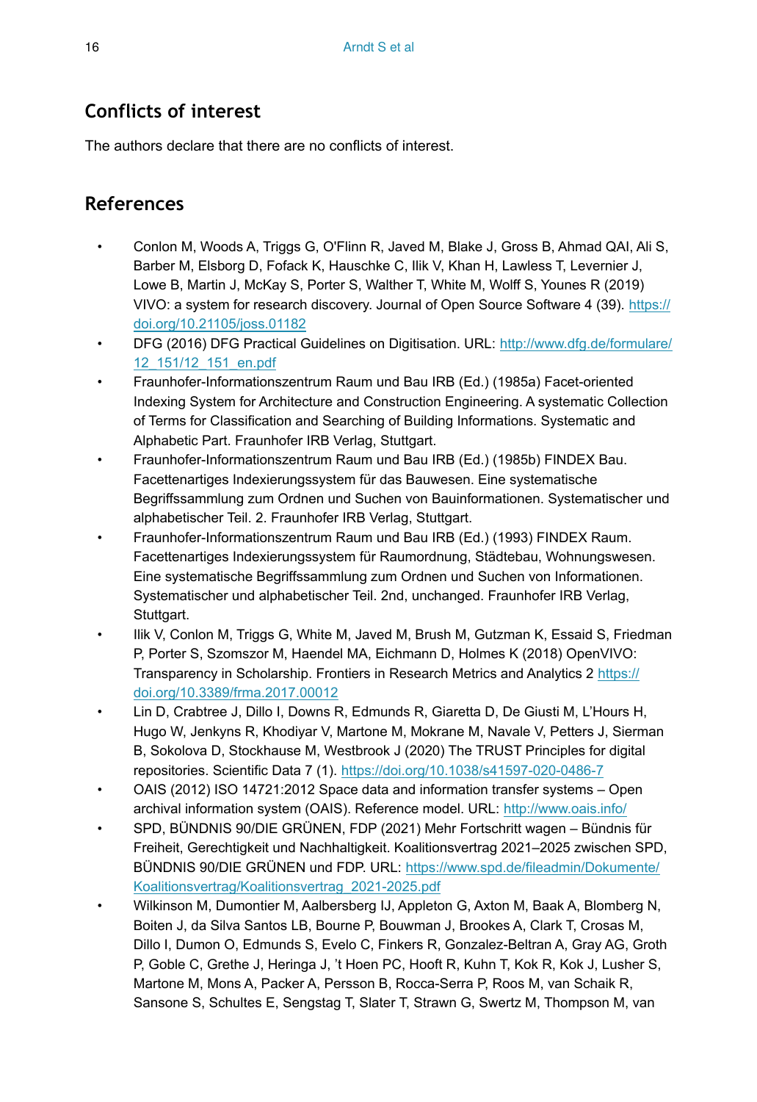## **Conflicts of interest**

The authors declare that there are no conflicts of interest.

## **References**

- <span id="page-15-5"></span>• Conlon M, Woods A, Triggs G, O'Flinn R, Javed M, Blake J, Gross B, Ahmad QAI, Ali S, Barber M, Elsborg D, Fofack K, Hauschke C, Ilik V, Khan H, Lawless T, Levernier J, Lowe B, Martin J, McKay S, Porter S, Walther T, White M, Wolff S, Younes R (2019) VIVO: a system for research discovery. Journal of Open Source Software 4 (39). [https://](https://doi.org/10.21105/joss.01182) [doi.org/10.21105/joss.01182](https://doi.org/10.21105/joss.01182)
- <span id="page-15-9"></span>• DFG (2016) DFG Practical Guidelines on Digitisation. URL: [http://www.dfg.de/formulare/](http://www.dfg.de/formulare/12_151/12_151_en.pdf) [12\\_151/12\\_151\\_en.pdf](http://www.dfg.de/formulare/12_151/12_151_en.pdf)
- <span id="page-15-0"></span>• Fraunhofer-Informationszentrum Raum und Bau IRB (Ed.) (1985a) Facet-oriented Indexing System for Architecture and Construction Engineering. A systematic Collection of Terms for Classification and Searching of Building Informations. Systematic and Alphabetic Part. Fraunhofer IRB Verlag, Stuttgart.
- <span id="page-15-1"></span>• Fraunhofer-Informationszentrum Raum und Bau IRB (Ed.) (1985b) FINDEX Bau. Facettenartiges Indexierungssystem für das Bauwesen. Eine systematische Begriffssammlung zum Ordnen und Suchen von Bauinformationen. Systematischer und alphabetischer Teil. 2. Fraunhofer IRB Verlag, Stuttgart.
- <span id="page-15-2"></span>• Fraunhofer-Informationszentrum Raum und Bau IRB (Ed.) (1993) FINDEX Raum. Facettenartiges Indexierungssystem für Raumordnung, Städtebau, Wohnungswesen. Eine systematische Begriffssammlung zum Ordnen und Suchen von Informationen. Systematischer und alphabetischer Teil. 2nd, unchanged. Fraunhofer IRB Verlag, Stuttgart.
- <span id="page-15-6"></span>• Ilik V, Conlon M, Triggs G, White M, Javed M, Brush M, Gutzman K, Essaid S, Friedman P, Porter S, Szomszor M, Haendel MA, Eichmann D, Holmes K (2018) OpenVIVO: Transparency in Scholarship. Frontiers in Research Metrics and Analytics 2 [https://](https://doi.org/10.3389/frma.2017.00012) [doi.org/10.3389/frma.2017.00012](https://doi.org/10.3389/frma.2017.00012)
- <span id="page-15-3"></span>• Lin D, Crabtree J, Dillo I, Downs R, Edmunds R, Giaretta D, De Giusti M, L'Hours H, Hugo W, Jenkyns R, Khodiyar V, Martone M, Mokrane M, Navale V, Petters J, Sierman B, Sokolova D, Stockhause M, Westbrook J (2020) The TRUST Principles for digital repositories. Scientific Data 7 (1). <https://doi.org/10.1038/s41597-020-0486-7>
- <span id="page-15-4"></span>• OAIS (2012) ISO 14721:2012 Space data and information transfer systems – Open archival information system (OAIS). Reference model. URL: <http://www.oais.info/>
- <span id="page-15-7"></span>• SPD, BÜNDNIS 90/DIE GRÜNEN, FDP (2021) Mehr Fortschritt wagen – Bündnis für Freiheit, Gerechtigkeit und Nachhaltigkeit. Koalitionsvertrag 2021–2025 zwischen SPD, BÜNDNIS 90/DIE GRÜNEN und FDP. URL: [https://www.spd.de/fileadmin/Dokumente/](https://www.spd.de/fileadmin/Dokumente/Koalitionsvertrag/Koalitionsvertrag_2021-2025.pdf) [Koalitionsvertrag/Koalitionsvertrag\\_2021-2025.pdf](https://www.spd.de/fileadmin/Dokumente/Koalitionsvertrag/Koalitionsvertrag_2021-2025.pdf)
- <span id="page-15-8"></span>• Wilkinson M, Dumontier M, Aalbersberg IJ, Appleton G, Axton M, Baak A, Blomberg N, Boiten J, da Silva Santos LB, Bourne P, Bouwman J, Brookes A, Clark T, Crosas M, Dillo I, Dumon O, Edmunds S, Evelo C, Finkers R, Gonzalez-Beltran A, Gray AG, Groth P, Goble C, Grethe J, Heringa J, 't Hoen PC, Hooft R, Kuhn T, Kok R, Kok J, Lusher S, Martone M, Mons A, Packer A, Persson B, Rocca-Serra P, Roos M, van Schaik R, Sansone S, Schultes E, Sengstag T, Slater T, Strawn G, Swertz M, Thompson M, van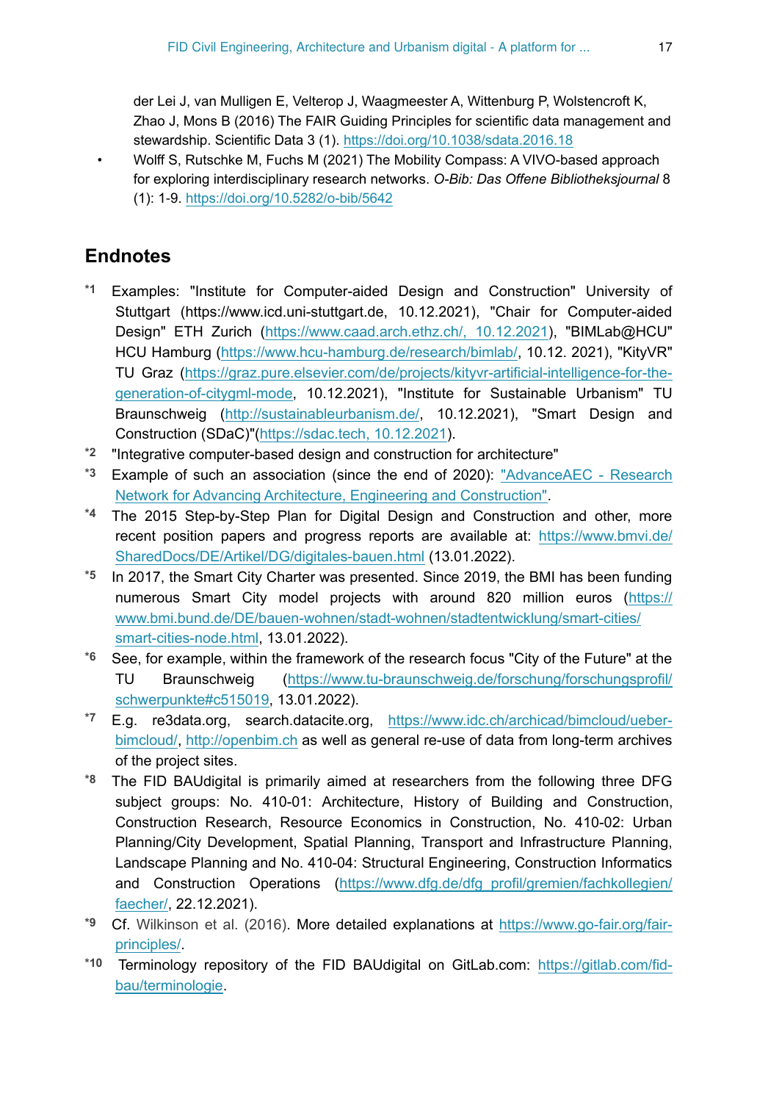der Lei J, van Mulligen E, Velterop J, Waagmeester A, Wittenburg P, Wolstencroft K, Zhao J, Mons B (2016) The FAIR Guiding Principles for scientific data management and stewardship. Scientific Data 3 (1).<https://doi.org/10.1038/sdata.2016.18>

<span id="page-16-10"></span>• Wolff S, Rutschke M, Fuchs M (2021) The Mobility Compass: A VIVO-based approach for exploring interdisciplinary research networks. *O-Bib: Das Offene Bibliotheksjournal* 8 (1): 1‑9. <https://doi.org/10.5282/o-bib/5642>

## **Endnotes**

- <span id="page-16-0"></span>**\*1** Examples: "Institute for Computer-aided Design and Construction" University of Stuttgart (https://www.icd.uni-stuttgart.de, 10.12.2021), "Chair for Computer-aided Design" ETH Zurich ([https://www.caad.arch.ethz.ch/, 10.12.2021\)](https://www.caad.arch.ethz.ch/,%2010.12.2021), "BIMLab@HCU" HCU Hamburg ([https://www.hcu-hamburg.de/research/bimlab/,](https://www.hcu-hamburg.de/research/bimlab/) 10.12. 2021), "KityVR" TU Graz [\(https://graz.pure.elsevier.com/de/projects/kityvr-artificial-intelligence-for-the](https://graz.pure.elsevier.com/de/projects/kityvr-artificial-intelligence-for-the-generation-of-citygml-mode)[generation-of-citygml-mode,](https://graz.pure.elsevier.com/de/projects/kityvr-artificial-intelligence-for-the-generation-of-citygml-mode) 10.12.2021), "Institute for Sustainable Urbanism" TU Braunschweig (<http://sustainableurbanism.de/>, 10.12.2021), "Smart Design and Construction (SDaC)"[\(https://sdac.tech, 10.12.2021\)](https://sdac.tech,%2010.12.2021).
- <span id="page-16-1"></span>**\*2** "Integrative computer-based design and construction for architecture"
- <span id="page-16-2"></span>**\*3** Example of such an association (since the end of 2020): ["AdvanceAEC - Research](https://www.advanceaec.net/) [Network for Advancing Architecture, Engineering and Construction"](https://www.advanceaec.net/).
- <span id="page-16-3"></span>**\*4** The 2015 Step-by-Step Plan for Digital Design and Construction and other, more recent position papers and progress reports are available at: [https://www.bmvi.de/](https://www.bmvi.de/SharedDocs/DE/Artikel/DG/digitales-bauen.html) [SharedDocs/DE/Artikel/DG/digitales-bauen.html](https://www.bmvi.de/SharedDocs/DE/Artikel/DG/digitales-bauen.html) (13.01.2022).
- <span id="page-16-4"></span>**\*5** In 2017, the Smart City Charter was presented. Since 2019, the BMI has been funding numerous Smart City model projects with around 820 million euros [\(https://](https://www.bmi.bund.de/DE/bauen-wohnen/stadt-wohnen/stadtentwicklung/smart-cities/smart-cities-node.html) [www.bmi.bund.de/DE/bauen-wohnen/stadt-wohnen/stadtentwicklung/smart-cities/](https://www.bmi.bund.de/DE/bauen-wohnen/stadt-wohnen/stadtentwicklung/smart-cities/smart-cities-node.html) [smart-cities-node.html,](https://www.bmi.bund.de/DE/bauen-wohnen/stadt-wohnen/stadtentwicklung/smart-cities/smart-cities-node.html) 13.01.2022).
- <span id="page-16-5"></span>**\*6** See, for example, within the framework of the research focus "City of the Future" at the TU Braunschweig ([https://www.tu-braunschweig.de/forschung/forschungsprofil/](https://www.tu-braunschweig.de/forschung/forschungsprofil/schwerpunkte#c515019) [schwerpunkte#c515019](https://www.tu-braunschweig.de/forschung/forschungsprofil/schwerpunkte#c515019), 13.01.2022).
- <span id="page-16-8"></span>**\*7** E.g. re3data.org, search.datacite.org, [https://www.idc.ch/archicad/bimcloud/ueber](https://www.idc.ch/archicad/bimcloud/ueber-bimcloud/)[bimcloud/,](https://www.idc.ch/archicad/bimcloud/ueber-bimcloud/) <http://openbim.ch>as well as general re-use of data from long-term archives of the project sites.
- <span id="page-16-6"></span>**\*8** The FID BAUdigital is primarily aimed at researchers from the following three DFG subject groups: No. 410-01: Architecture, History of Building and Construction, Construction Research, Resource Economics in Construction, No. 410-02: Urban Planning/City Development, Spatial Planning, Transport and Infrastructure Planning, Landscape Planning and No. 410-04: Structural Engineering, Construction Informatics and Construction Operations ([https://www.dfg.de/dfg\\_profil/gremien/fachkollegien/](https://www.dfg.de/dfg_profil/gremien/fachkollegien/faecher/) [faecher/,](https://www.dfg.de/dfg_profil/gremien/fachkollegien/faecher/) 22.12.2021).
- <span id="page-16-7"></span>**\*9** Cf. [Wilkinson et al. \(2016\).](#page-15-8) More detailed explanations at [https://www.go-fair.org/fair](https://www.go-fair.org/fair-principles/)[principles/.](https://www.go-fair.org/fair-principles/)
- <span id="page-16-9"></span>**\*10** Terminology repository of the FID BAUdigital on GitLab.com: [https://gitlab.com/fid](https://gitlab.com/fid-bau/terminologie)[bau/terminologie.](https://gitlab.com/fid-bau/terminologie)